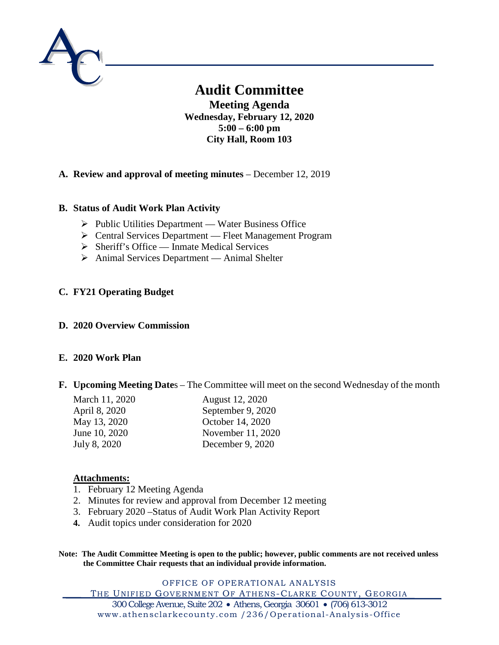

# **Audit Committee**

**Meeting Agenda Wednesday, February 12, 2020 5:00 – 6:00 pm City Hall, Room 103**

# **A. Review and approval of meeting minutes** – December 12, 2019

# **B. Status of Audit Work Plan Activity**

- $\triangleright$  Public Utilities Department Water Business Office
- Central Services Department Fleet Management Program
- $\triangleright$  Sheriff's Office Inmate Medical Services
- Animal Services Department Animal Shelter

# **C. FY21 Operating Budget**

## **D. 2020 Overview Commission**

## **E. 2020 Work Plan**

## **F. Upcoming Meeting Date**s – The Committee will meet on the second Wednesday of the month

| March 11, 2020 | August 12, 2020   |
|----------------|-------------------|
| April 8, 2020  | September 9, 2020 |
| May 13, 2020   | October 14, 2020  |
| June 10, 2020  | November 11, 2020 |
| July 8, 2020   | December 9, 2020  |

## **Attachments:**

- 1. February 12 Meeting Agenda
- 2. Minutes for review and approval from December 12 meeting
- 3. February 2020 –Status of Audit Work Plan Activity Report
- **4.** Audit topics under consideration for 2020

**Note: The Audit Committee Meeting is open to the public; however, public comments are not received unless the Committee Chair requests that an individual provide information.**

OFFICE OF OPERATIONAL ANALYSIS THE UNIFIED GOVERNMENT OF ATHENS-CLARKE COUNTY, GEORGIA 300 College Avenue, Suite 202 • Athens, Georgia 30601 • (706) 613-3012 www.athensclarkecounty.com /236/Operational -Analysis-Office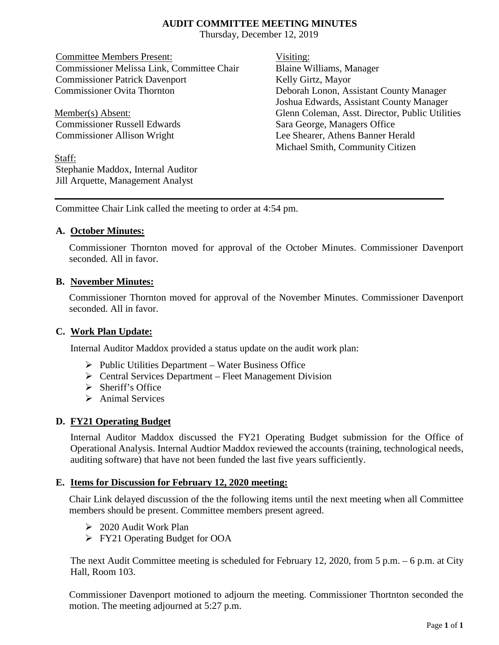## **AUDIT COMMITTEE MEETING MINUTES**

Thursday, December 12, 2019

Committee Members Present: Visiting: Commissioner Melissa Link, Committee Chair Blaine Williams, Manager Commissioner Patrick Davenport Kelly Girtz, Mayor Commissioner Ovita Thornton Deborah Lonon, Assistant County Manager

Commissioner Russell Edwards Sara George, Managers Office

Staff: Stephanie Maddox, Internal Auditor Jill Arquette, Management Analyst

Joshua Edwards, Assistant County Manager Member(s) Absent: Glenn Coleman, Asst. Director, Public Utilities Commissioner Allison Wright Lee Shearer, Athens Banner Herald Michael Smith, Community Citizen

Committee Chair Link called the meeting to order at 4:54 pm.

# **A. October Minutes:**

Commissioner Thornton moved for approval of the October Minutes. Commissioner Davenport seconded. All in favor.

# **B. November Minutes:**

Commissioner Thornton moved for approval of the November Minutes. Commissioner Davenport seconded. All in favor.

## **C. Work Plan Update:**

Internal Auditor Maddox provided a status update on the audit work plan:

- $\triangleright$  Public Utilities Department Water Business Office
- Central Services Department Fleet Management Division
- $\triangleright$  Sheriff's Office
- $\triangleright$  Animal Services

# **D. FY21 Operating Budget**

Internal Auditor Maddox discussed the FY21 Operating Budget submission for the Office of Operational Analysis. Internal Audtior Maddox reviewed the accounts (training, technological needs, auditing software) that have not been funded the last five years sufficiently.

## **E. Items for Discussion for February 12, 2020 meeting:**

Chair Link delayed discussion of the the following items until the next meeting when all Committee members should be present. Committee members present agreed.

- 2020 Audit Work Plan
- FY21 Operating Budget for OOA

The next Audit Committee meeting is scheduled for February 12, 2020, from 5 p.m. – 6 p.m. at City Hall, Room 103.

Commissioner Davenport motioned to adjourn the meeting. Commissioner Thortnton seconded the motion. The meeting adjourned at 5:27 p.m.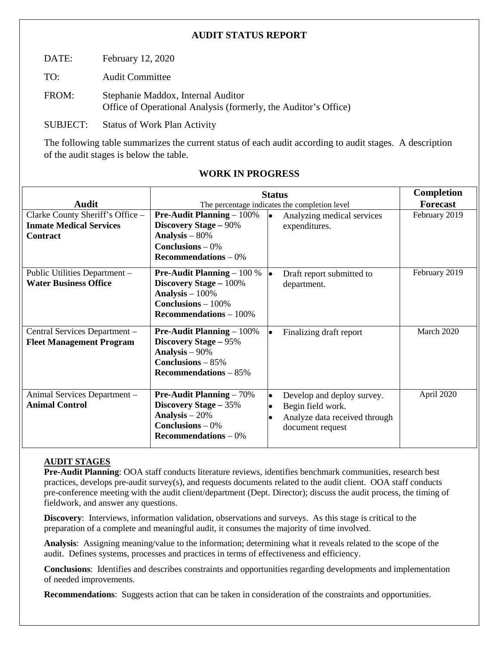# **AUDIT STATUS REPORT**

DATE: February 12, 2020

TO: Audit Committee

FROM: Stephanie Maddox, Internal Auditor Office of Operational Analysis (formerly, the Auditor's Office)

SUBJECT: Status of Work Plan Activity

The following table summarizes the current status of each audit according to audit stages. A description of the audit stages is below the table.

|                                                                                       | <b>Status</b>                                                                                                                                          |                                                                                                                   | <b>Completion</b> |
|---------------------------------------------------------------------------------------|--------------------------------------------------------------------------------------------------------------------------------------------------------|-------------------------------------------------------------------------------------------------------------------|-------------------|
| <b>Audit</b>                                                                          | The percentage indicates the completion level                                                                                                          |                                                                                                                   | <b>Forecast</b>   |
| Clarke County Sheriff's Office -<br><b>Inmate Medical Services</b><br><b>Contract</b> | <b>Pre-Audit Planning – 100%</b><br><b>Discovery Stage – 90%</b><br>Analysis $-80%$<br><b>Conclusions</b> $-0\%$<br>Recommendations $-0\%$             | Analyzing medical services<br>le.<br>expenditures.                                                                | February 2019     |
| Public Utilities Department -<br><b>Water Business Office</b>                         | <b>Pre-Audit Planning</b> $-100\%$<br>Discovery Stage - 100%<br>Analysis $-100\%$<br><b>Conclusions</b> $-100\%$<br>$\mathbf{Recommendations} - 100\%$ | Draft report submitted to<br>department.                                                                          | February 2019     |
| Central Services Department -<br><b>Fleet Management Program</b>                      | <b>Pre-Audit Planning</b> $-100\%$<br><b>Discovery Stage – 95%</b><br>Analysis $-90\%$<br>Conclusions $-85%$<br>Recommendations $-85%$                 | Finalizing draft report                                                                                           | March 2020        |
| Animal Services Department -<br><b>Animal Control</b>                                 | <b>Pre-Audit Planning – 70%</b><br>Discovery Stage - 35%<br>Analysis $-20%$<br>Conclusions $-0\%$<br>Recommendations $-0\%$                            | Develop and deploy survey.<br>$\bullet$<br>Begin field work.<br>Analyze data received through<br>document request | April 2020        |

# **WORK IN PROGRESS**

## **AUDIT STAGES**

**Pre-Audit Planning**: OOA staff conducts literature reviews, identifies benchmark communities, research best practices, develops pre-audit survey(s), and requests documents related to the audit client. OOA staff conducts pre-conference meeting with the audit client/department (Dept. Director); discuss the audit process, the timing of fieldwork, and answer any questions.

**Discovery**: Interviews, information validation, observations and surveys. As this stage is critical to the preparation of a complete and meaningful audit, it consumes the majority of time involved.

**Analysis**: Assigning meaning/value to the information; determining what it reveals related to the scope of the audit. Defines systems, processes and practices in terms of effectiveness and efficiency.

**Conclusions**: Identifies and describes constraints and opportunities regarding developments and implementation of needed improvements.

**Recommendations**: Suggests action that can be taken in consideration of the constraints and opportunities.